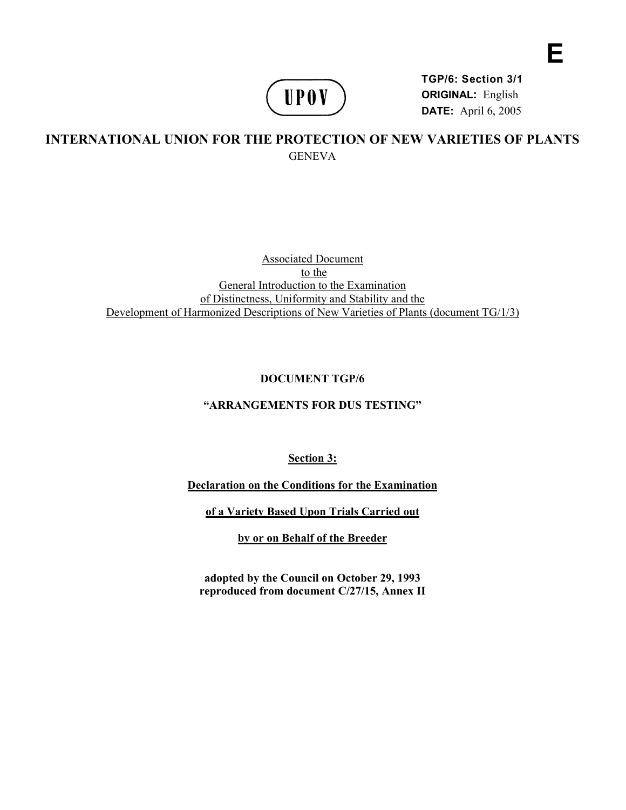

**TGP/6: Section 3/1 ORIGINAL:** English **DATE:** April 6, 2005

**E** 

# **INTERNATIONAL UNION FOR THE PROTECTION OF NEW VARIETIES OF PLANTS GENEVA**

Associated Document to the General Introduction to the Examination of Distinctness, Uniformity and Stability and the Development of Harmonized Descriptions of New Varieties of Plants (document TG/1/3)

# **DOCUMENT TGP/6**

## **"ARRANGEMENTS FOR DUS TESTING"**

**Section 3:** 

**Declaration on the Conditions for the Examination** 

**of a Variety Based Upon Trials Carried out** 

**by or on Behalf of the Breeder** 

**adopted by the Council on October 29, 1993 reproduced from document C/27/15, Annex II**